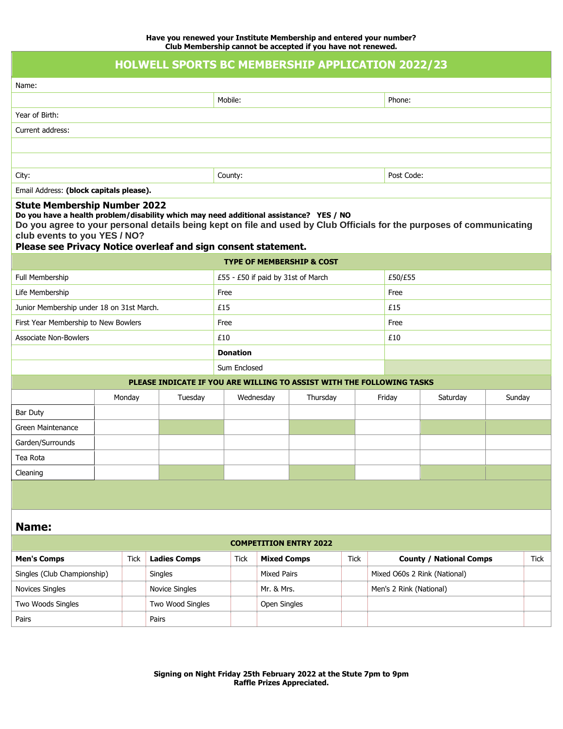|                                                                                                                                                                                                                                                                                                                                                          |                               |                  |         |                     |                                    |                                   |  | Club Membership cannot be accepted in you have not renewed. |      |                              |                                |  |        |      |
|----------------------------------------------------------------------------------------------------------------------------------------------------------------------------------------------------------------------------------------------------------------------------------------------------------------------------------------------------------|-------------------------------|------------------|---------|---------------------|------------------------------------|-----------------------------------|--|-------------------------------------------------------------|------|------------------------------|--------------------------------|--|--------|------|
| <b>HOLWELL SPORTS BC MEMBERSHIP APPLICATION 2022/23</b>                                                                                                                                                                                                                                                                                                  |                               |                  |         |                     |                                    |                                   |  |                                                             |      |                              |                                |  |        |      |
| Name:                                                                                                                                                                                                                                                                                                                                                    |                               |                  |         |                     |                                    |                                   |  |                                                             |      |                              |                                |  |        |      |
|                                                                                                                                                                                                                                                                                                                                                          |                               |                  |         |                     | Mobile:                            |                                   |  |                                                             |      |                              | Phone:                         |  |        |      |
| Year of Birth:                                                                                                                                                                                                                                                                                                                                           |                               |                  |         |                     |                                    |                                   |  |                                                             |      |                              |                                |  |        |      |
| Current address:                                                                                                                                                                                                                                                                                                                                         |                               |                  |         |                     |                                    |                                   |  |                                                             |      |                              |                                |  |        |      |
|                                                                                                                                                                                                                                                                                                                                                          |                               |                  |         |                     |                                    |                                   |  |                                                             |      |                              |                                |  |        |      |
|                                                                                                                                                                                                                                                                                                                                                          |                               |                  |         |                     |                                    |                                   |  |                                                             |      |                              |                                |  |        |      |
| City:                                                                                                                                                                                                                                                                                                                                                    |                               |                  |         |                     | County:                            |                                   |  |                                                             |      |                              | Post Code:                     |  |        |      |
| Email Address: (block capitals please).                                                                                                                                                                                                                                                                                                                  |                               |                  |         |                     |                                    |                                   |  |                                                             |      |                              |                                |  |        |      |
| <b>Stute Membership Number 2022</b><br>Do you have a health problem/disability which may need additional assistance? YES / NO<br>Do you agree to your personal details being kept on file and used by Club Officials for the purposes of communicating<br>club events to you YES / NO?<br>Please see Privacy Notice overleaf and sign consent statement. |                               |                  |         |                     |                                    |                                   |  |                                                             |      |                              |                                |  |        |      |
| <b>TYPE OF MEMBERSHIP &amp; COST</b>                                                                                                                                                                                                                                                                                                                     |                               |                  |         |                     |                                    |                                   |  |                                                             |      |                              |                                |  |        |      |
| Full Membership                                                                                                                                                                                                                                                                                                                                          |                               |                  |         |                     | £55 - £50 if paid by 31st of March |                                   |  |                                                             |      |                              | £50/£55                        |  |        |      |
| Life Membership                                                                                                                                                                                                                                                                                                                                          |                               |                  |         |                     | Free                               |                                   |  |                                                             |      |                              | Free                           |  |        |      |
| Junior Membership under 18 on 31st March.                                                                                                                                                                                                                                                                                                                |                               |                  |         |                     | £15                                |                                   |  |                                                             |      |                              | £15                            |  |        |      |
| First Year Membership to New Bowlers                                                                                                                                                                                                                                                                                                                     |                               |                  |         |                     | Free                               |                                   |  |                                                             |      |                              | Free                           |  |        |      |
| <b>Associate Non-Bowlers</b>                                                                                                                                                                                                                                                                                                                             |                               |                  |         |                     | £10                                |                                   |  |                                                             |      |                              | £10                            |  |        |      |
|                                                                                                                                                                                                                                                                                                                                                          |                               |                  |         |                     | <b>Donation</b>                    |                                   |  |                                                             |      |                              |                                |  |        |      |
|                                                                                                                                                                                                                                                                                                                                                          |                               |                  |         |                     | Sum Enclosed                       |                                   |  |                                                             |      |                              |                                |  |        |      |
| PLEASE INDICATE IF YOU ARE WILLING TO ASSIST WITH THE FOLLOWING TASKS                                                                                                                                                                                                                                                                                    |                               |                  |         |                     |                                    |                                   |  |                                                             |      |                              |                                |  |        |      |
|                                                                                                                                                                                                                                                                                                                                                          | Monday                        |                  | Tuesday |                     | Wednesday                          |                                   |  | Thursday                                                    |      |                              | Friday<br>Saturday             |  | Sunday |      |
| Bar Duty                                                                                                                                                                                                                                                                                                                                                 |                               |                  |         |                     |                                    |                                   |  |                                                             |      |                              |                                |  |        |      |
| Green Maintenance                                                                                                                                                                                                                                                                                                                                        |                               |                  |         |                     |                                    |                                   |  |                                                             |      |                              |                                |  |        |      |
| Garden/Surrounds                                                                                                                                                                                                                                                                                                                                         |                               |                  |         |                     |                                    |                                   |  |                                                             |      |                              |                                |  |        |      |
| Tea Rota                                                                                                                                                                                                                                                                                                                                                 |                               |                  |         |                     |                                    |                                   |  |                                                             |      |                              |                                |  |        |      |
| Cleaning                                                                                                                                                                                                                                                                                                                                                 |                               |                  |         |                     |                                    |                                   |  |                                                             |      |                              |                                |  |        |      |
|                                                                                                                                                                                                                                                                                                                                                          |                               |                  |         |                     |                                    |                                   |  |                                                             |      |                              |                                |  |        |      |
| <b>Name:</b>                                                                                                                                                                                                                                                                                                                                             |                               |                  |         |                     |                                    |                                   |  |                                                             |      |                              |                                |  |        |      |
|                                                                                                                                                                                                                                                                                                                                                          | <b>COMPETITION ENTRY 2022</b> |                  |         |                     |                                    |                                   |  |                                                             |      |                              |                                |  |        |      |
| <b>Men's Comps</b><br><b>Tick</b>                                                                                                                                                                                                                                                                                                                        |                               |                  |         | <b>Ladies Comps</b> |                                    | <b>Tick</b><br><b>Mixed Comps</b> |  |                                                             | Tick |                              | <b>County / National Comps</b> |  |        | Tick |
| Singles (Club Championship)                                                                                                                                                                                                                                                                                                                              |                               | Singles          |         |                     |                                    | <b>Mixed Pairs</b>                |  |                                                             |      | Mixed O60s 2 Rink (National) |                                |  |        |      |
| Novices Singles                                                                                                                                                                                                                                                                                                                                          |                               | Novice Singles   |         |                     |                                    | Mr. & Mrs.                        |  |                                                             |      | Men's 2 Rink (National)      |                                |  |        |      |
| Two Woods Singles                                                                                                                                                                                                                                                                                                                                        |                               | Two Wood Singles |         |                     |                                    | Open Singles                      |  |                                                             |      |                              |                                |  |        |      |

Pairs Pairs Pairs Pairs Pairs Pairs Pairs Pairs Pairs Pairs Pairs Pairs Pairs Pairs Pairs Pairs Pairs Pairs Pairs Pairs Pairs Pairs Pairs Pairs Pairs Pairs Pairs Pairs Pairs Pairs Pairs Pairs Pairs Pairs Pairs Pairs Pairs